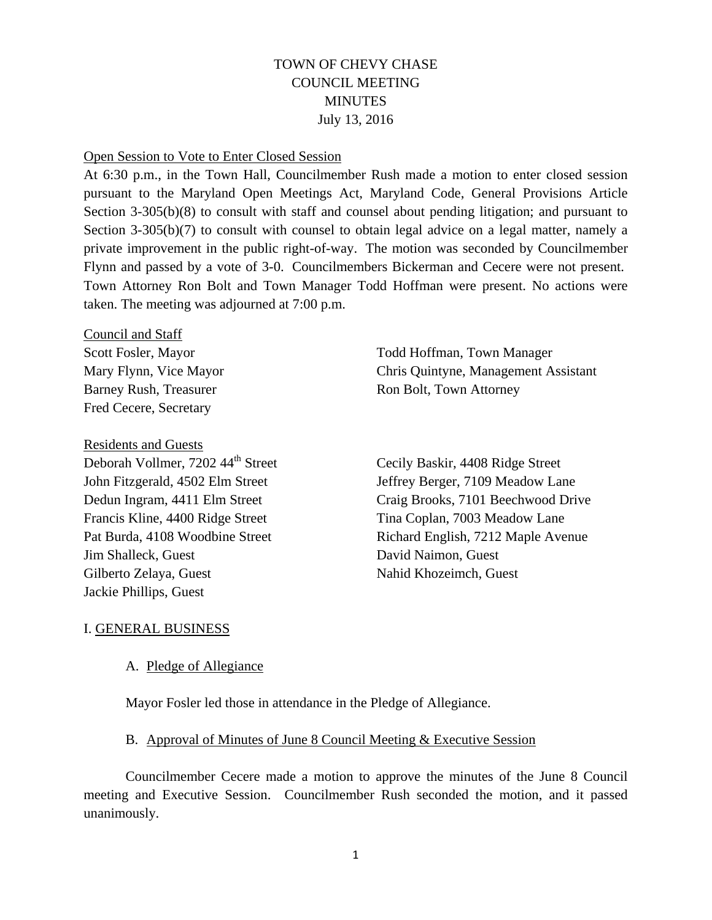# TOWN OF CHEVY CHASE COUNCIL MEETING **MINUTES** July 13, 2016

#### Open Session to Vote to Enter Closed Session

At 6:30 p.m., in the Town Hall, Councilmember Rush made a motion to enter closed session pursuant to the Maryland Open Meetings Act, Maryland Code, General Provisions Article Section 3-305(b)(8) to consult with staff and counsel about pending litigation; and pursuant to Section 3-305(b)(7) to consult with counsel to obtain legal advice on a legal matter, namely a private improvement in the public right-of-way. The motion was seconded by Councilmember Flynn and passed by a vote of 3-0. Councilmembers Bickerman and Cecere were not present. Town Attorney Ron Bolt and Town Manager Todd Hoffman were present. No actions were taken. The meeting was adjourned at 7:00 p.m.

Council and Staff Fred Cecere, Secretary

Residents and Guests Deborah Vollmer, 7202 44<sup>th</sup> Street Cecily Baskir, 4408 Ridge Street Francis Kline, 4400 Ridge Street Tina Coplan, 7003 Meadow Lane **Jim Shalleck, Guest** David Naimon, Guest Gilberto Zelaya, Guest Nahid Khozeimch, Guest Jackie Phillips, Guest

Scott Fosler, Mayor Todd Hoffman, Town Manager Mary Flynn, Vice Mayor Chris Quintyne, Management Assistant Barney Rush, Treasurer Ron Bolt, Town Attorney

John Fitzgerald, 4502 Elm Street Jeffrey Berger, 7109 Meadow Lane Dedun Ingram, 4411 Elm Street Craig Brooks, 7101 Beechwood Drive Pat Burda, 4108 Woodbine Street Richard English, 7212 Maple Avenue

# I. GENERAL BUSINESS

# A. Pledge of Allegiance

Mayor Fosler led those in attendance in the Pledge of Allegiance.

#### B. Approval of Minutes of June 8 Council Meeting & Executive Session

Councilmember Cecere made a motion to approve the minutes of the June 8 Council meeting and Executive Session. Councilmember Rush seconded the motion, and it passed unanimously.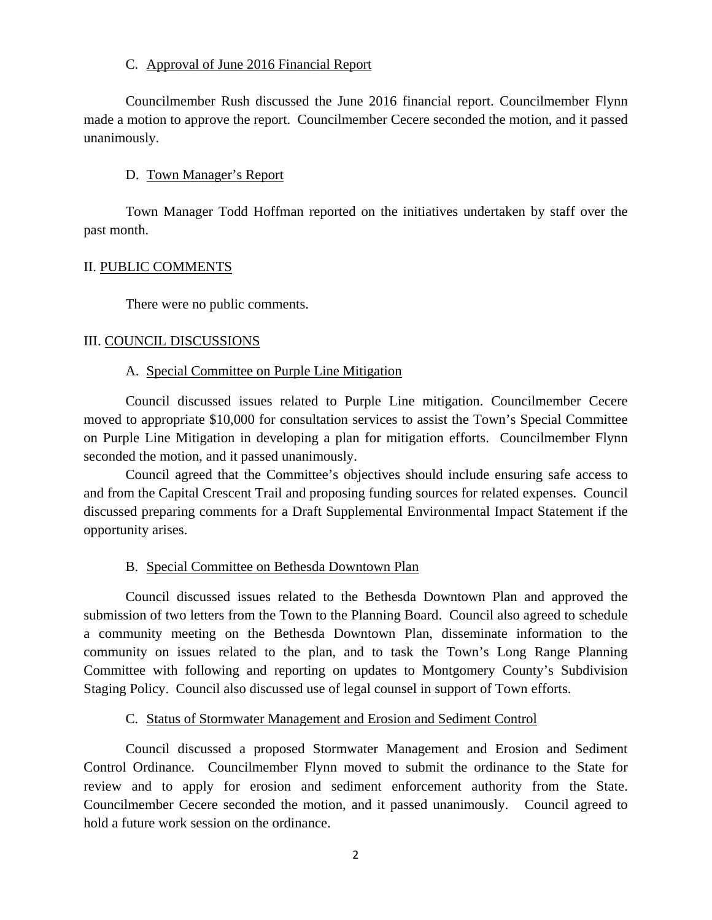## C. Approval of June 2016 Financial Report

Councilmember Rush discussed the June 2016 financial report. Councilmember Flynn made a motion to approve the report. Councilmember Cecere seconded the motion, and it passed unanimously.

# D. Town Manager's Report

Town Manager Todd Hoffman reported on the initiatives undertaken by staff over the past month.

## II. PUBLIC COMMENTS

There were no public comments.

## III. COUNCIL DISCUSSIONS

## A. Special Committee on Purple Line Mitigation

Council discussed issues related to Purple Line mitigation. Councilmember Cecere moved to appropriate \$10,000 for consultation services to assist the Town's Special Committee on Purple Line Mitigation in developing a plan for mitigation efforts. Councilmember Flynn seconded the motion, and it passed unanimously.

Council agreed that the Committee's objectives should include ensuring safe access to and from the Capital Crescent Trail and proposing funding sources for related expenses. Council discussed preparing comments for a Draft Supplemental Environmental Impact Statement if the opportunity arises.

# B. Special Committee on Bethesda Downtown Plan

Council discussed issues related to the Bethesda Downtown Plan and approved the submission of two letters from the Town to the Planning Board. Council also agreed to schedule a community meeting on the Bethesda Downtown Plan, disseminate information to the community on issues related to the plan, and to task the Town's Long Range Planning Committee with following and reporting on updates to Montgomery County's Subdivision Staging Policy. Council also discussed use of legal counsel in support of Town efforts.

# C. Status of Stormwater Management and Erosion and Sediment Control

Council discussed a proposed Stormwater Management and Erosion and Sediment Control Ordinance. Councilmember Flynn moved to submit the ordinance to the State for review and to apply for erosion and sediment enforcement authority from the State. Councilmember Cecere seconded the motion, and it passed unanimously. Council agreed to hold a future work session on the ordinance.